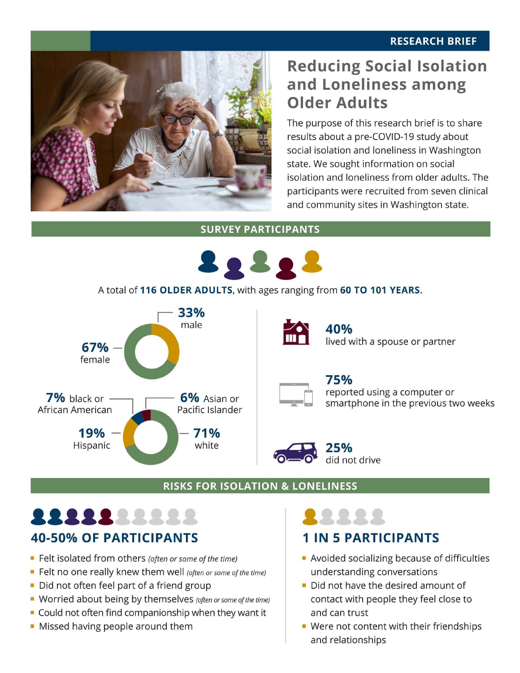#### **RESEARCH BRIEF**



## **Reducing Social Isolation and Loneliness among Older Adults**

The purpose of this research brief is to share results about a pre-COVID-19 study about social isolation and loneliness in Washington state. We sought information on social isolation and loneliness from older adults. The participants were recruited from seven clinical and community sites in Washington state.

**SURVEY PARTICIPANTS** 



A total of **116 OLDER ADULTS,** with ages ranging from **60 TO 101 YEARS.** 





**40%**<br>lived with a spouse or partner

**25%** 

**75%**<br>
reported using a computer or<br>
smartphone in the previous two weeks reported using a computer or

#### $\sim$   $\sim$   $\sim$ did not drive

#### **RISKS FOR ISOLATION & LONELINESS**

## •••••••••• ••••• **40-50% OF PARTICIPANTS**

- Felt isolated from others *(often or some of the time)*
- Felt no one really knew them well (often or some of the time)
- Did not often feel part of a friend group
- Worried about being by themselves (often or some of the time)
- Could not often find companionship when they want it
- Missed having people around them

# **1 IN 5 PARTICIPANTS**

- Avoided socializing because of difficulties understanding conversations
- Did not have the desired amount of contact with people they feel close to and can trust
- Were not content with their friendships and relationships